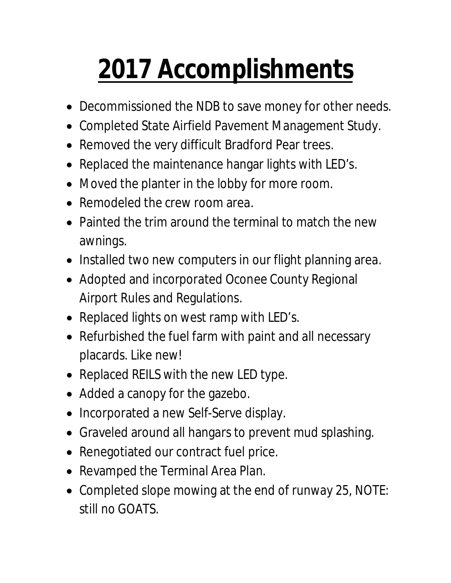## **2017 Accomplishments**

- Decommissioned the NDB to save money for other needs.
- Completed State Airfield Pavement Management Study.
- Removed the very difficult Bradford Pear trees.
- Replaced the maintenance hangar lights with LED's.
- Moved the planter in the lobby for more room.
- Remodeled the crew room area.
- Painted the trim around the terminal to match the new awnings.
- Installed two new computers in our flight planning area.
- Adopted and incorporated Oconee County Regional Airport Rules and Regulations.
- Replaced lights on west ramp with LED's.
- Refurbished the fuel farm with paint and all necessary placards. Like new!
- Replaced REILS with the new LED type.
- Added a canopy for the gazebo.
- Incorporated a new Self-Serve display.
- Graveled around all hangars to prevent mud splashing.
- Renegotiated our contract fuel price.
- Revamped the Terminal Area Plan.
- Completed slope mowing at the end of runway 25, NOTE: still no GOATS.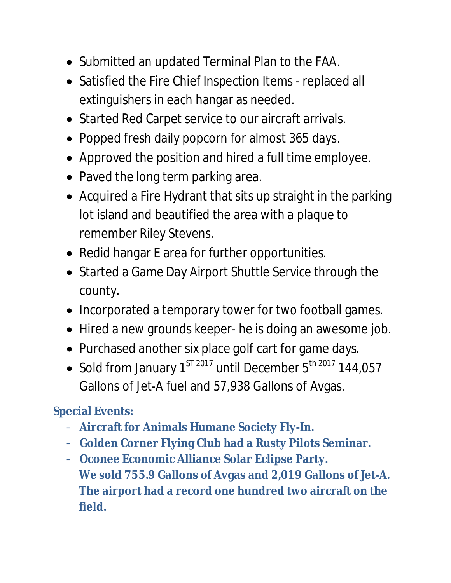- Submitted an updated Terminal Plan to the FAA.
- Satisfied the Fire Chief Inspection Items replaced all extinguishers in each hangar as needed.
- Started Red Carpet service to our aircraft arrivals.
- Popped fresh daily popcorn for almost 365 days.
- Approved the position and hired a full time employee.
- Paved the long term parking area.
- Acquired a Fire Hydrant that sits up straight in the parking lot island and beautified the area with a plaque to remember Riley Stevens.
- Redid hangar E area for further opportunities.
- Started a Game Day Airport Shuttle Service through the county.
- Incorporated a temporary tower for two football games.
- Hired a new grounds keeper- he is doing an awesome job.
- Purchased another six place golf cart for game days.
- Sold from January  $1^{ST\,2017}$  until December  $5^{th\,2017}$  144,057 Gallons of Jet-A fuel and 57,938 Gallons of Avgas.

## **Special Events:**

- **Aircraft for Animals Humane Society Fly-In.**
- **Golden Corner Flying Club had a Rusty Pilots Seminar.**
- **Oconee Economic Alliance Solar Eclipse Party. We sold 755.9 Gallons of Avgas and 2,019 Gallons of Jet-A. The airport had a record one hundred two aircraft on the field.**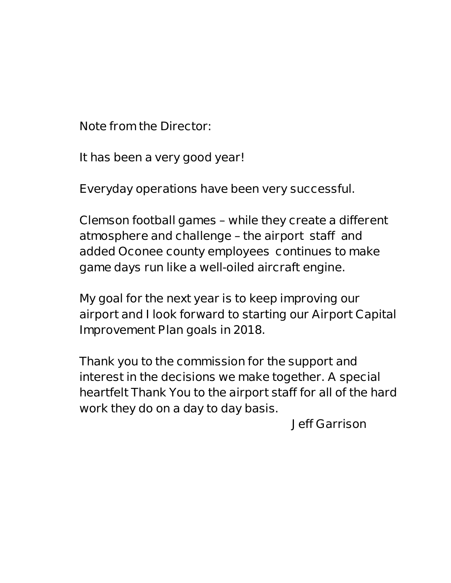**Note from the Director:**

 **It has been a very good year!**

**Everyday operations have been very successful.**

**Clemson football games – while they create a different atmosphere and challenge – the airport staff and added Oconee county employees continues to make game days run like a well-oiled aircraft engine.**

**My goal for the next year is to keep improving our airport and I look forward to starting our Airport Capital Improvement Plan goals in 2018.**

**Thank you to the commission for the support and interest in the decisions we make together. A special heartfelt Thank You to the airport staff for all of the hard work they do on a day to day basis.** 

**Jeff Garrison**